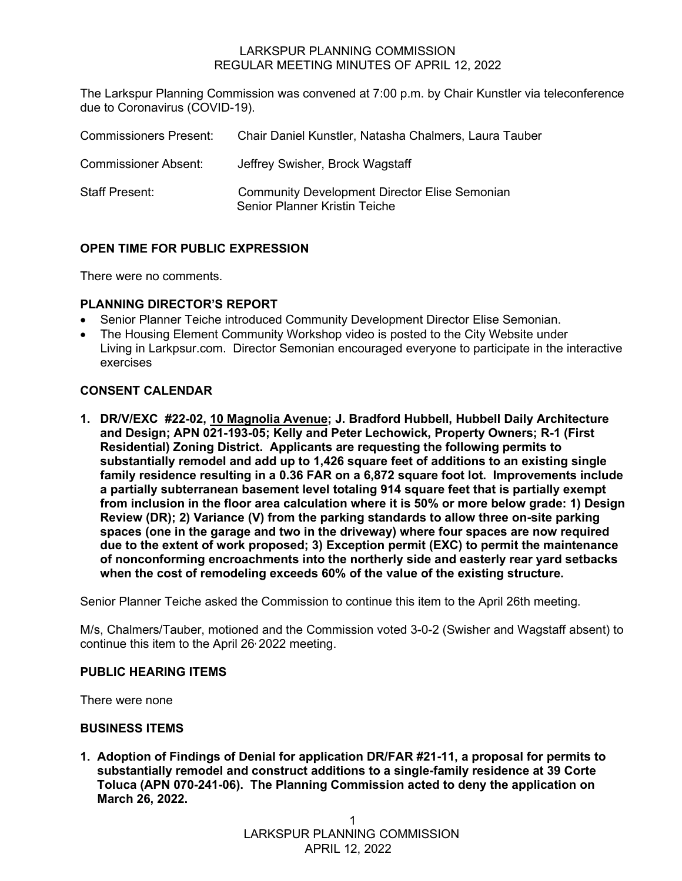## LARKSPUR PLANNING COMMISSION REGULAR MEETING MINUTES OF APRIL 12, 2022

The Larkspur Planning Commission was convened at 7:00 p.m. by Chair Kunstler via teleconference due to Coronavirus (COVID-19).

| <b>Commissioners Present:</b> | Chair Daniel Kunstler, Natasha Chalmers, Laura Tauber                                 |
|-------------------------------|---------------------------------------------------------------------------------------|
| <b>Commissioner Absent:</b>   | Jeffrey Swisher, Brock Wagstaff                                                       |
| <b>Staff Present:</b>         | <b>Community Development Director Elise Semonian</b><br>Senior Planner Kristin Teiche |

# **OPEN TIME FOR PUBLIC EXPRESSION**

There were no comments.

## **PLANNING DIRECTOR'S REPORT**

- Senior Planner Teiche introduced Community Development Director Elise Semonian.
- The Housing Element Community Workshop video is posted to the City Website under Living in Larkpsur.com. Director Semonian encouraged everyone to participate in the interactive exercises

## **CONSENT CALENDAR**

**1. DR/V/EXC #22-02, 10 Magnolia Avenue; J. Bradford Hubbell, Hubbell Daily Architecture and Design; APN 021-193-05; Kelly and Peter Lechowick, Property Owners; R-1 (First Residential) Zoning District. Applicants are requesting the following permits to substantially remodel and add up to 1,426 square feet of additions to an existing single family residence resulting in a 0.36 FAR on a 6,872 square foot lot. Improvements include a partially subterranean basement level totaling 914 square feet that is partially exempt from inclusion in the floor area calculation where it is 50% or more below grade: 1) Design Review (DR); 2) Variance (V) from the parking standards to allow three on-site parking spaces (one in the garage and two in the driveway) where four spaces are now required due to the extent of work proposed; 3) Exception permit (EXC) to permit the maintenance of nonconforming encroachments into the northerly side and easterly rear yard setbacks when the cost of remodeling exceeds 60% of the value of the existing structure.**

Senior Planner Teiche asked the Commission to continue this item to the April 26th meeting.

M/s, Chalmers/Tauber, motioned and the Commission voted 3-0-2 (Swisher and Wagstaff absent) to continue this item to the April 26, 2022 meeting.

#### **PUBLIC HEARING ITEMS**

There were none

## **BUSINESS ITEMS**

**1. Adoption of Findings of Denial for application DR/FAR #21-11, a proposal for permits to substantially remodel and construct additions to a single-family residence at 39 Corte Toluca (APN 070-241-06). The Planning Commission acted to deny the application on March 26, 2022.**